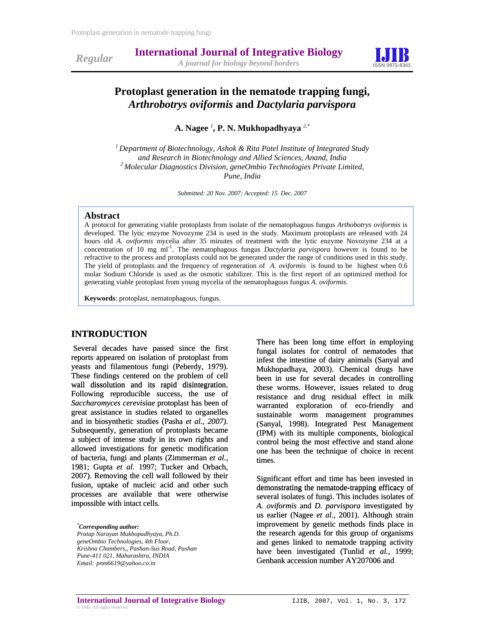



# **Protoplast generation in the nematode trapping fungi,**  *Arthrobotrys oviformis* **and** *Dactylaria parvispora*

**A. Nagee** *<sup>1</sup>* **, P. N. Mukhopadhyaya** *2,\**

*1 Department of Biotechnology, Ashok & Rita Patel Institute of Integrated Study*  <sup>2</sup> Molecular Diagnostics Division, geneOmbio Technologies Private Limited, *Pune, India* 

*Submitted: 20 Nov. 2007; Accepted: 15 Dec. 2007*

#### **Abstract**

A protocol for generating viable protoplasts from isolate of the nematophagous fungus *Arthobotrys oviformis* is developed. The lytic enzyme Novozyme 234 is used in the study. Maximum protoplasts are released with 24 hours old *A. oviformis* mycelia after 35 minutes of treatment with the lytic enzyme Novozyme 234 at a concentration of 10 mg ml<sup>-1</sup>. The nematophagous fungus *Dactylaria parvispora* however is found to be refractive to the process and protoplasts could not be generated under the range of conditions used in this study. The yield of protoplasts and the frequency of regeneration of *A. oviformis* is found to be highest when 0.6 molar Sodium Chloride is used as the osmotic stabilizer. This is the first report of an optimized method for generating viable protoplast from young mycelia of the nematophagous fungus *A. oviformis*.

**Keywords**: protoplast, nematophagous, fungus.

## **INTRODUCTION**

 Several decades have passed since the first reports appeared on isolation of protoplast from yeasts and filamentous fungi (Peberdy, 1979). These findings centered on the problem of cell wall dissolution and its rapid disintegration. Following reproducible success, the use of *Saccharomyces cerevisiae* protoplast has been of great assistance in studies related to organelles and in biosynthetic studies (Pasha *et al., 2007)*. Subsequently, generation of protoplasts became a subject of intense study in its own rights and allowed investigations for genetic modification of bacteria, fungi and plants (Zimmerman *et al.,* 1981; Gupta *et al.* 1997; Tucker and Orbach, 2007). Removing the cell wall followed by their fusion, uptake of nucleic acid and other such processes are available that were otherwise impossible with intact cells.

*\* Corresponding author: Pratap Narayan Mukhopadhyaya, Ph.D. geneOmbio Technologies, 4th Floor, Krishna Chambers,, Pashan-Sus Road, Pashan Pune-4 1 021, Maharashtra, INDIA 1 Email: pnm6619@yahoo.co.in* 

There has been long time effort in employing fungal isolates for control of nematodes that infest the intestine of dairy animals (Sanyal and Mukhopadhaya, 2003). Chemical drugs have been in use for several decades in controlling these worms. However, issues related to drug resistance and drug residual effect in milk warranted exploration of eco-friendly and sustainable worm management programmes (Sanyal, 1998). Integrated Pest Management (IPM) with its multiple components, biological control being the most effective and stand alone one has been the technique of choice in recent times.

Significant effort and time has been invested in demonstrating the nematode-trapping efficacy of several isolates of fungi. This includes isolates of *A. oviformis* and *D. parvispora* investigated by us earlier (Nagee *et al.,* 2001). Although strain improvement by genetic methods finds place in the research agenda for this group of organisms and genes linked to nematode trapping activity have been investigated (Tunlid *et al.,* 1999; Genbank accession number AY207006 and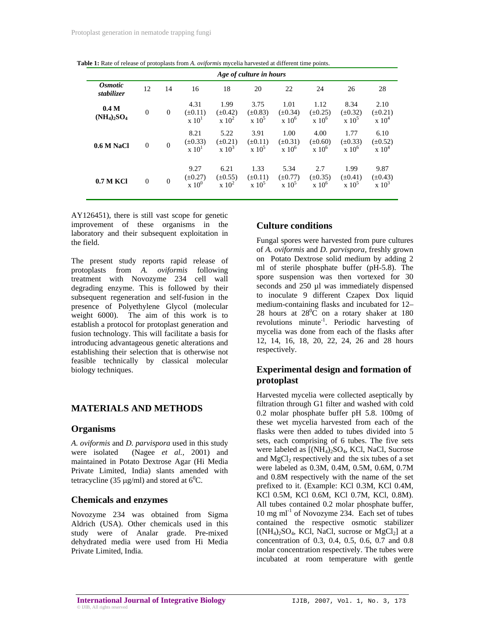| Age of culture in hours                    |              |              |                                                      |                                       |                                   |                                      |                                           |                                                      |                                      |
|--------------------------------------------|--------------|--------------|------------------------------------------------------|---------------------------------------|-----------------------------------|--------------------------------------|-------------------------------------------|------------------------------------------------------|--------------------------------------|
| <i><b>Osmotic</b></i><br><i>stabilizer</i> | 12           | 14           | 16                                                   | 18                                    | 20                                | 22                                   | 24                                        | 26                                                   | 28                                   |
| 0.4 <sub>M</sub><br>$(NH_4)_2SO_4$         | $\mathbf{0}$ | $\mathbf{0}$ | 4.31<br>$(\pm 0.11)$<br>$\mathrm{x}$ 10 <sup>1</sup> | 1.99<br>$(\pm 0.42)$<br>$\rm x~10^2$  | 3.75<br>$(\pm 0.83)$<br>$x\ 10^5$ | 1.01<br>$(\pm 0.34)$<br>$x 10^6$     | 1.12<br>$(\pm 0.25)$<br>$\mathrm{x} 10^6$ | 8.34<br>$(\pm 0.32)$<br>$\mathrm{x}$ 10 <sup>5</sup> | 2.10<br>$(\pm 0.21)$<br>$\rm x~10^4$ |
| 0.6 M NaCl                                 | $\mathbf{0}$ | $\mathbf{0}$ | 8.21<br>$(\pm 0.33)$<br>$\mathrm{x}$ 10 <sup>1</sup> | 5.22<br>$(\pm 0.21)$<br>$\times 10^3$ | 3.91<br>$(\pm 0.11)$<br>$x 10^5$  | 1.00<br>$(\pm 0.31)$<br>$x 10^6$     | 4.00<br>$(\pm 0.60)$<br>$\times 10^6$     | 1.77<br>$(\pm 0.33)$<br>$\times 10^6$                | 6.10<br>$(\pm 0.52)$<br>$\rm x~10^4$ |
| 0.7 M KCI                                  | $\mathbf{0}$ | $\mathbf{0}$ | 9.27<br>$(\pm 0.27)$<br>$\mathrm{x}$ 10 <sup>0</sup> | 6.21<br>$(\pm 0.55)$<br>$\rm x~10^2$  | 1.33<br>$(\pm 0.11)$<br>$x\ 10^5$ | 5.34<br>$(\pm 0.77)$<br>$\rm x~10^5$ | 2.7<br>$(\pm 0.35)$<br>$x 10^6$           | 1.99<br>$(\pm 0.41)$<br>$\mathrm{x}$ 10 <sup>5</sup> | 9.87<br>$(\pm 0.43)$<br>$\ge 10^3$   |

**Table 1:** Rate of release of protoplasts from *A. oviformis* mycelia harvested at different time points.

AY126451), there is still vast scope for genetic improvement of these organisms in the laboratory and their subsequent exploitation in the field.

The present study reports rapid release of protoplasts from *A. oviformis* following treatment with Novozyme 234 cell wall degrading enzyme. This is followed by their subsequent regeneration and self-fusion in the presence of Polyethylene Glycol (molecular weight 6000). The aim of this work is to establish a protocol for protoplast generation and fusion technology. This will facilitate a basis for introducing advantageous genetic alterations and establishing their selection that is otherwise not feasible technically by classical molecular biology techniques.

### **MATERIALS AND METHODS**

#### **Organisms**

*A. oviformis* and *D. parvispora* used in this study were isolated (Nagee *et al.,* 2001) and maintained in Potato Dextrose Agar (Hi Media Private Limited, India) slants amended with tetracycline (35  $\mu$ g/ml) and stored at 6<sup>0</sup>C.

### **Chemicals and enzymes**

Novozyme 234 was obtained from Sigma Aldrich (USA). Other chemicals used in this study were of Analar grade. Pre-mixed dehydrated media were used from Hi Media Private Limited, India.

#### **Culture conditions**

Fungal spores were harvested from pure cultures of *A. oviformis* and *D. parvispora,* freshly grown on Potato Dextrose solid medium by adding 2 ml of sterile phosphate buffer (pH-5.8). The spore suspension was then vortexed for 30 seconds and 250 µl was immediately dispensed to inoculate 9 different Czapex Dox liquid medium-containing flasks and incubated for 12– 28 hours at  $28^{\circ}$ C on a rotary shaker at 180 revolutions minute-1. Periodic harvesting of mycelia was done from each of the flasks after 12, 14, 16, 18, 20, 22, 24, 26 and 28 hours respectively.

## **Experimental design and formation of protoplast**

Harvested mycelia were collected aseptically by filtration through G1 filter and washed with cold 0.2 molar phosphate buffer pH 5.8. 100mg of these wet mycelia harvested from each of the flasks were then added to tubes divided into 5 sets, each comprising of 6 tubes. The five sets were labeled as  $[(NH_4)_2SO_4, KCl, NaCl, Sucrose]$ and  $MgCl<sub>2</sub>$  respectively and the six tubes of a set were labeled as 0.3M, 0.4M, 0.5M, 0.6M, 0.7M and 0.8M respectively with the name of the set prefixed to it. (Example: KCl 0.3M, KCl 0.4M, KCl 0.5M, KCl 0.6M, KCl 0.7M, KCl, 0.8M). All tubes contained 0.2 molar phosphate buffer,  $10 \text{ mg ml}^{-1}$  of Novozyme 234. Each set of tubes contained the respective osmotic stabilizer  $[(NH<sub>4</sub>)<sub>2</sub>SO<sub>4</sub>, KCl, NaCl, sucrose or MgCl<sub>2</sub>]$  at a concentration of 0.3, 0.4, 0.5, 0.6, 0.7 and 0.8 molar concentration respectively. The tubes were incubated at room temperature with gentle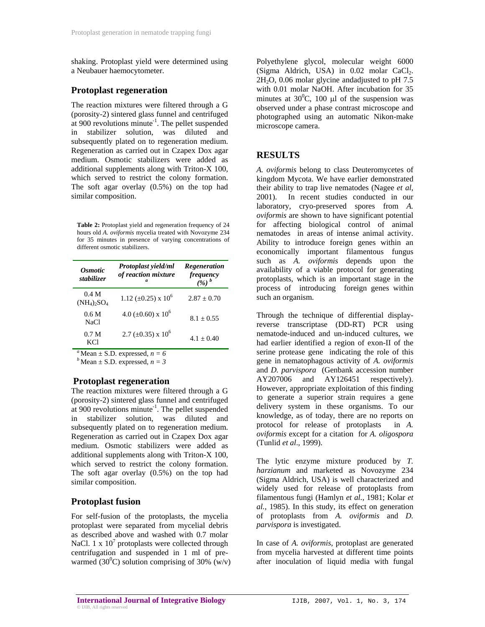shaking. Protoplast yield were determined using a Neubauer haemocytometer.

#### **Protoplast regeneration**

The reaction mixtures were filtered through a G (porosity-2) sintered glass funnel and centrifuged at  $900$  revolutions minute<sup>-1</sup>. The pellet suspended in stabilizer solution, was diluted and subsequently plated on to regeneration medium. Regeneration as carried out in Czapex Dox agar medium. Osmotic stabilizers were added as additional supplements along with Triton-X 100, which served to restrict the colony formation. The soft agar overlay (0.5%) on the top had similar composition.

**Table 2:** Protoplast yield and regeneration frequency of 24 hours old *A. oviformis* mycelia treated with Novozyme 234 for 35 minutes in presence of varying concentrations of different osmotic stabilizers.

| <i><b>Osmotic</b></i><br><i>stabilizer</i>     | <b>Protoplast yield/ml</b><br>of reaction mixture<br>$\boldsymbol{a}$ | Regeneration<br>frequency<br>$(%)^b$ |
|------------------------------------------------|-----------------------------------------------------------------------|--------------------------------------|
| 0.4 M<br>$(NH_4)$ <sub>2</sub> SO <sub>4</sub> | 1.12 ( $\pm$ 0.25) x 10 <sup>6</sup>                                  | $2.87 + 0.70$                        |
| 0.6 <sub>M</sub><br>NaCl                       | $4.0 \ (\pm 0.60) \times 10^6$                                        | $8.1 \pm 0.55$                       |
| 0.7 <sub>M</sub><br>KCl                        | $2.7 \ (\pm 0.35) \times 10^6$                                        | $4.1 + 0.40$                         |

<sup>*a*</sup>Mean ± S.D. expressed,  $n = 6$ <br><sup>*b*</sup>Mean ± S.D. expressed,  $n = 3$ 

### **Protoplast regeneration**

The reaction mixtures were filtered through a G (porosity-2) sintered glass funnel and centrifuged at 900 revolutions minute<sup>-1</sup>. The pellet suspended in stabilizer solution, was diluted and subsequently plated on to regeneration medium. Regeneration as carried out in Czapex Dox agar medium. Osmotic stabilizers were added as additional supplements along with Triton-X 100, which served to restrict the colony formation. The soft agar overlay (0.5%) on the top had similar composition.

### **Protoplast fusion**

For self-fusion of the protoplasts, the mycelia protoplast were separated from mycelial debris as described above and washed with 0.7 molar NaCl. 1 x  $10<sup>7</sup>$  protoplasts were collected through centrifugation and suspended in 1 ml of prewarmed  $(30^0C)$  solution comprising of 30% (w/v)

Polyethylene glycol, molecular weight 6000 (Sigma Aldrich, USA) in  $0.02$  molar CaCl<sub>2</sub>.  $2H<sub>2</sub>O$ , 0.06 molar glycine andadjusted to pH 7.5 with 0.01 molar NaOH. After incubation for 35 minutes at  $30^0$ C, 100  $\mu$ l of the suspension was observed under a phase contrast microscope and photographed using an automatic Nikon-make microscope camera.

## **RESULTS**

*A. oviformis* belong to class Deuteromycetes of kingdom Mycota. We have earlier demonstrated their ability to trap live nematodes (Nagee *et al*, 2001). In recent studies conducted in our laboratory, cryo-preserved spores from *A. oviformis* are shown to have significant potential for affecting biological control of animal nematodes in areas of intense animal activity. Ability to introduce foreign genes within an economically important filamentous fungus such as *A. oviformis* depends upon the availability of a viable protocol for generating protoplasts, which is an important stage in the process of introducing foreign genes within such an organism.

Through the technique of differential displayreverse transcriptase (DD-RT) PCR using nematode-induced and un-induced cultures, we had earlier identified a region of exon-II of the serine protease gene indicating the role of this gene in nematophagous activity of *A. oviformis* and *D. parvispora* (Genbank accession number AY207006 and AY126451 respectively). However, appropriate exploitation of this finding to generate a superior strain requires a gene delivery system in these organisms. To our knowledge, as of today, there are no reports on protocol for release of protoplasts in *A. oviformis* except for a citation for *A. oligospora*  (Tunlid *et al*., 1999).

The lytic enzyme mixture produced by *T. harzianum* and marketed as Novozyme 234 (Sigma Aldrich, USA) is well characterized and widely used for release of protoplasts from filamentous fungi (Hamlyn *et al.,* 1981; Kolar *et al.,* 1985). In this study, its effect on generation of protoplasts from *A. oviformis* and *D. parvispora* is investigated.

In case of *A. oviformis*, protoplast are generated from mycelia harvested at different time points after inoculation of liquid media with fungal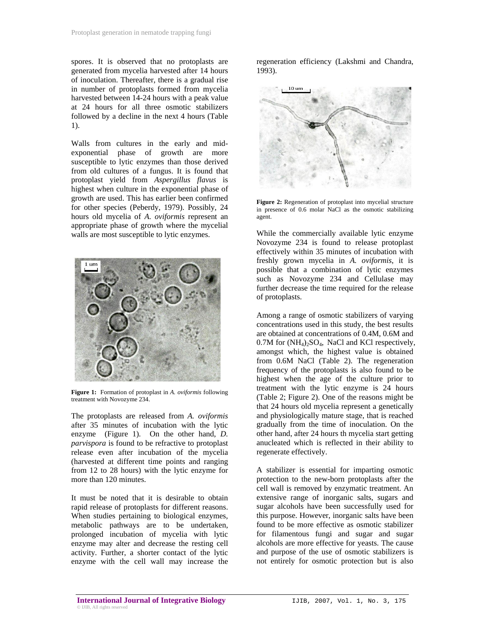spores. It is observed that no protoplasts are generated from mycelia harvested after 14 hours of inoculation. Thereafter, there is a gradual rise in number of protoplasts formed from mycelia harvested between 14-24 hours with a peak value at 24 hours for all three osmotic stabilizers followed by a decline in the next 4 hours (Table 1).

Walls from cultures in the early and midexponential phase of growth are more susceptible to lytic enzymes than those derived from old cultures of a fungus. It is found that protoplast yield from *Aspergillus flavus* is highest when culture in the exponential phase of growth are used. This has earlier been confirmed for other species (Peberdy, 1979). Possibly, 24 hours old mycelia of *A. oviformis* represent an appropriate phase of growth where the mycelial walls are most susceptible to lytic enzymes.



**Figure 1:** Formation of protoplast in *A. oviformis* following treatment with Novozyme 234.

The protoplasts are released from *A. oviformis* after 35 minutes of incubation with the lytic enzyme (Figure 1)*.* On the other hand, *D. parvispora* is found to be refractive to protoplast release even after incubation of the mycelia (harvested at different time points and ranging from 12 to 28 hours) with the lytic enzyme for more than 120 minutes.

It must be noted that it is desirable to obtain rapid release of protoplasts for different reasons. When studies pertaining to biological enzymes, metabolic pathways are to be undertaken, prolonged incubation of mycelia with lytic enzyme may alter and decrease the resting cell activity. Further, a shorter contact of the lytic enzyme with the cell wall may increase the

regeneration efficiency (Lakshmi and Chandra, 1993).



**Figure 2:** Regeneration of protoplast into mycelial structure in presence of 0.6 molar NaCl as the osmotic stabilizing agent.

While the commercially available lytic enzyme Novozyme 234 is found to release protoplast effectively within 35 minutes of incubation with freshly grown mycelia in *A. oviformis*, it is possible that a combination of lytic enzymes such as Novozyme 234 and Cellulase may further decrease the time required for the release of protoplasts.

Among a range of osmotic stabilizers of varying concentrations used in this study, the best results are obtained at concentrations of 0.4M, 0.6M and  $0.7M$  for  $(NH_4)$ <sub>2</sub>SO<sub>4</sub>, NaCl and KCl respectively, amongst which, the highest value is obtained from 0.6M NaCl (Table 2). The regeneration frequency of the protoplasts is also found to be highest when the age of the culture prior to treatment with the lytic enzyme is 24 hours (Table 2; Figure 2). One of the reasons might be that 24 hours old mycelia represent a genetically and physiologically mature stage, that is reached gradually from the time of inoculation. On the other hand, after 24 hours th mycelia start getting anucleated which is reflected in their ability to regenerate effectively.

A stabilizer is essential for imparting osmotic protection to the new-born protoplasts after the cell wall is removed by enzymatic treatment. An extensive range of inorganic salts, sugars and sugar alcohols have been successfully used for this purpose. However, inorganic salts have been found to be more effective as osmotic stabilizer for filamentous fungi and sugar and sugar alcohols are more effective for yeasts. The cause and purpose of the use of osmotic stabilizers is not entirely for osmotic protection but is also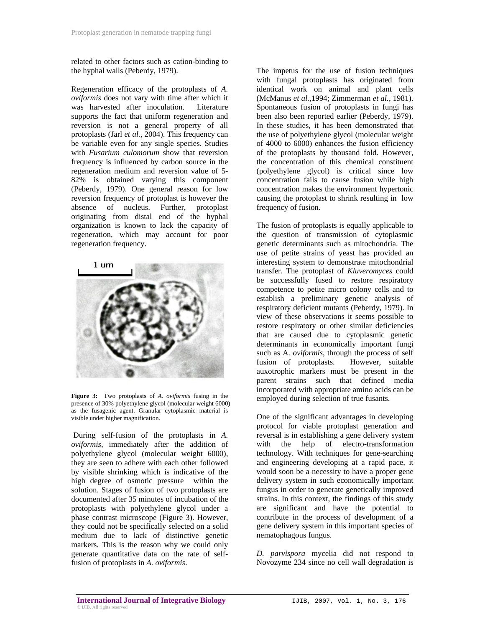related to other factors such as cation-binding to the hyphal walls (Peberdy, 1979).

Regeneration efficacy of the protoplasts of *A. oviformis* does not vary with time after which it was harvested after inoculation. Literature supports the fact that uniform regeneration and reversion is not a general property of all protoplasts (Jarl *et al.*, 2004). This frequency can be variable even for any single species. Studies with *Fusarium culomorum* show that reversion frequency is influenced by carbon source in the regeneration medium and reversion value of 5- 82% is obtained varying this component (Peberdy, 1979). One general reason for low reversion frequency of protoplast is however the absence of nucleus. Further, protoplast originating from distal end of the hyphal organization is known to lack the capacity of regeneration, which may account for poor regeneration frequency.



**Figure 3:** Two protoplasts of *A. oviformis* fusing in the presence of 30% polyethylene glycol (molecular weight 6000) as the fusagenic agent. Granular cytoplasmic material is visible under higher magnification.

 During self-fusion of the protoplasts in *A. oviformis*, immediately after the addition of polyethylene glycol (molecular weight 6000), they are seen to adhere with each other followed by visible shrinking which is indicative of the high degree of osmotic pressure within the solution. Stages of fusion of two protoplasts are documented after 35 minutes of incubation of the protoplasts with polyethylene glycol under a phase contrast microscope (Figure 3). However, they could not be specifically selected on a solid medium due to lack of distinctive genetic markers. This is the reason why we could only generate quantitative data on the rate of selffusion of protoplasts in *A. oviformis*.

The impetus for the use of fusion techniques with fungal protoplasts has originated from identical work on animal and plant cells (McManus *et al.*,1994; Zimmerman *et al.*, 1981). Spontaneous fusion of protoplasts in fungi has been also been reported earlier (Peberdy, 1979). In these studies, it has been demonstrated that the use of polyethylene glycol (molecular weight of 4000 to 6000) enhances the fusion efficiency of the protoplasts by thousand fold. However, the concentration of this chemical constituent (polyethylene glycol) is critical since low concentration fails to cause fusion while high concentration makes the environment hypertonic causing the protoplast to shrink resulting in low frequency of fusion.

The fusion of protoplasts is equally applicable to the question of transmission of cytoplasmic genetic determinants such as mitochondria. The use of petite strains of yeast has provided an interesting system to demonstrate mitochondrial transfer. The protoplast of *Kluveromyces* could be successfully fused to restore respiratory competence to petite micro colony cells and to establish a preliminary genetic analysis of respiratory deficient mutants (Peberdy, 1979). In view of these observations it seems possible to restore respiratory or other similar deficiencies that are caused due to cytoplasmic genetic determinants in economically important fungi such as A*. oviformis*, through the process of self fusion of protoplasts. However, suitable auxotrophic markers must be present in the parent strains such that defined media incorporated with appropriate amino acids can be employed during selection of true fusants.

One of the significant advantages in developing protocol for viable protoplast generation and reversal is in establishing a gene delivery system with the help of electro-transformation technology. With techniques for gene-searching and engineering developing at a rapid pace, it would soon be a necessity to have a proper gene delivery system in such economically important fungus in order to generate genetically improved strains. In this context, the findings of this study are significant and have the potential to contribute in the process of development of a gene delivery system in this important species of nematophagous fungus.

*D. parvispora* mycelia did not respond to Novozyme 234 since no cell wall degradation is